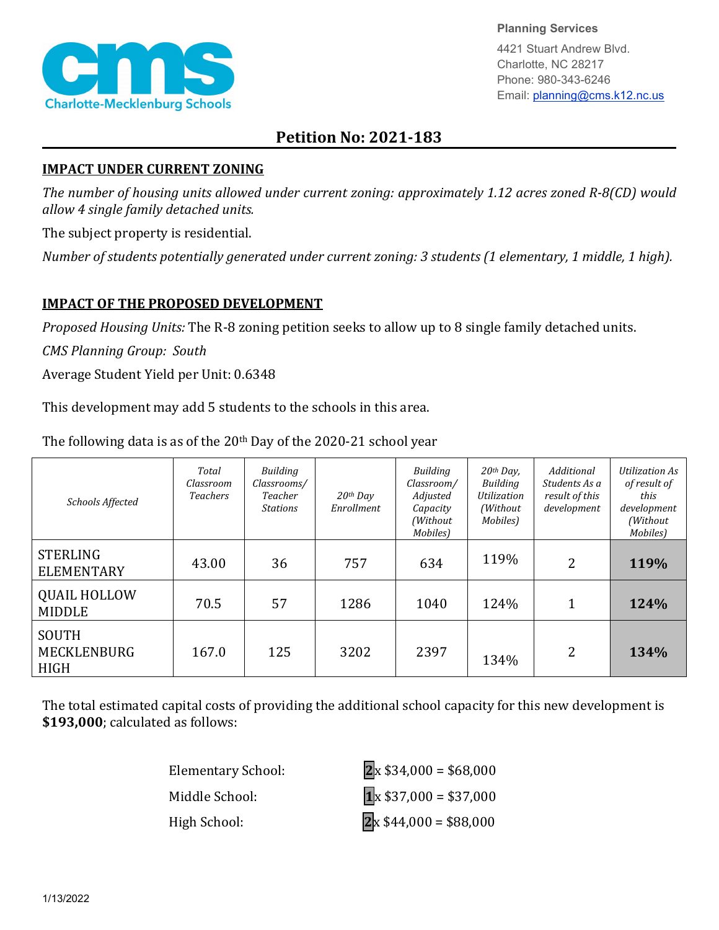

**Planning Services**

4421 Stuart Andrew Blvd. Charlotte, NC 28217 Phone: 980-343-6246 Email: planning@cms.k12.nc.us

## **Petition No: 2021-183**

## **IMPACT UNDER CURRENT ZONING**

*The number of housing units allowed under current zoning: approximately 1.12 acres zoned R-8(CD) would allow 4 single family detached units.*

The subject property is residential.

*Number of students potentially generated under current zoning: 3 students (1 elementary, 1 middle, 1 high).*

## **IMPACT OF THE PROPOSED DEVELOPMENT**

*Proposed Housing Units:* The R-8 zoning petition seeks to allow up to 8 single family detached units.

*CMS Planning Group: South*

Average Student Yield per Unit: 0.6348

This development may add 5 students to the schools in this area.

| Schools Affected                                  | Total<br>Classroom<br><b>Teachers</b> | Building<br>Classrooms/<br>Teacher<br><b>Stations</b> | $20$ <sup>th</sup> Day<br>Enrollment | <b>Building</b><br>Classroom/<br>Adjusted<br>Capacity<br>(Without<br>Mobiles) | $20$ <sup>th</sup> Day,<br>Building<br>Utilization<br>(Without<br>Mobiles) | Additional<br>Students As a<br>result of this<br>development | <b>Utilization As</b><br>of result of<br>this<br>development<br>(Without<br>Mobiles) |
|---------------------------------------------------|---------------------------------------|-------------------------------------------------------|--------------------------------------|-------------------------------------------------------------------------------|----------------------------------------------------------------------------|--------------------------------------------------------------|--------------------------------------------------------------------------------------|
| <b>STERLING</b><br><b>ELEMENTARY</b>              | 43.00                                 | 36                                                    | 757                                  | 634                                                                           | 119%                                                                       | 2                                                            | 119%                                                                                 |
| <b>QUAIL HOLLOW</b><br><b>MIDDLE</b>              | 70.5                                  | 57                                                    | 1286                                 | 1040                                                                          | 124%                                                                       | 1                                                            | 124%                                                                                 |
| <b>SOUTH</b><br><b>MECKLENBURG</b><br><b>HIGH</b> | 167.0                                 | 125                                                   | 3202                                 | 2397                                                                          | 134%                                                                       | 2                                                            | 134%                                                                                 |

The following data is as of the  $20<sup>th</sup>$  Day of the 2020-21 school year

The total estimated capital costs of providing the additional school capacity for this new development is **\$193,000**; calculated as follows:

| <b>Elementary School:</b> | $\overline{2}$ x \$34,000 = \$68,000 |
|---------------------------|--------------------------------------|
| Middle School:            | $\boxed{1}$ x \$37,000 = \$37,000    |
| High School:              | $2x $44,000 = $88,000$               |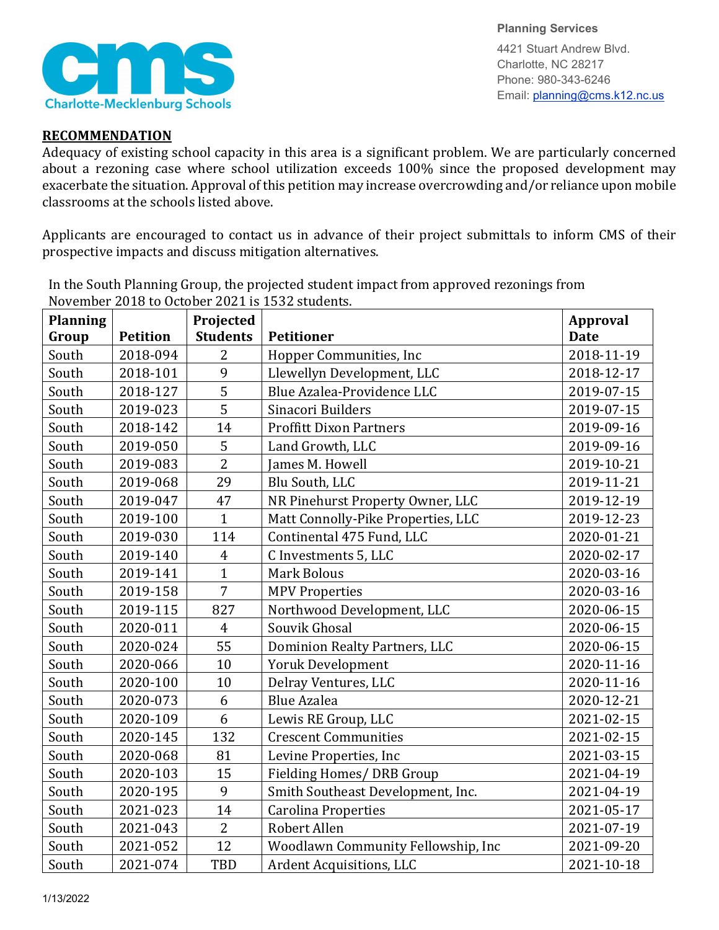

**Planning Services**

4421 Stuart Andrew Blvd. Charlotte, NC 28217 Phone: 980-343-6246 Email: planning@cms.k12.nc.us

## **RECOMMENDATION**

Adequacy of existing school capacity in this area is a significant problem. We are particularly concerned about a rezoning case where school utilization exceeds 100% since the proposed development may exacerbate the situation. Approval of this petition may increase overcrowding and/or reliance upon mobile classrooms at the schools listed above.

Applicants are encouraged to contact us in advance of their project submittals to inform CMS of their prospective impacts and discuss mitigation alternatives.

| <b>Planning</b> |                 | Projected       | NOVERIDEL 2010 to OCtober 2021 is 1992 students. | <b>Approval</b> |
|-----------------|-----------------|-----------------|--------------------------------------------------|-----------------|
| Group           | <b>Petition</b> | <b>Students</b> | <b>Petitioner</b>                                | <b>Date</b>     |
| South           | 2018-094        | $\overline{2}$  | Hopper Communities, Inc                          | 2018-11-19      |
| South           | 2018-101        | 9               | Llewellyn Development, LLC                       | 2018-12-17      |
| South           | 2018-127        | 5               | Blue Azalea-Providence LLC                       | 2019-07-15      |
| South           | 2019-023        | 5               | Sinacori Builders                                | 2019-07-15      |
| South           | 2018-142        | 14              | <b>Proffitt Dixon Partners</b>                   | 2019-09-16      |
| South           | 2019-050        | 5               | Land Growth, LLC                                 | 2019-09-16      |
| South           | 2019-083        | $\overline{2}$  | James M. Howell                                  | 2019-10-21      |
| South           | 2019-068        | 29              | Blu South, LLC                                   | 2019-11-21      |
| South           | 2019-047        | 47              | NR Pinehurst Property Owner, LLC                 | 2019-12-19      |
| South           | 2019-100        | $\overline{1}$  | Matt Connolly-Pike Properties, LLC               | 2019-12-23      |
| South           | 2019-030        | 114             | Continental 475 Fund, LLC                        | 2020-01-21      |
| South           | 2019-140        | $\overline{4}$  | C Investments 5, LLC                             | 2020-02-17      |
| South           | 2019-141        | $\mathbf{1}$    | <b>Mark Bolous</b>                               | 2020-03-16      |
| South           | 2019-158        | $\overline{7}$  | <b>MPV Properties</b>                            | 2020-03-16      |
| South           | 2019-115        | 827             | Northwood Development, LLC                       | 2020-06-15      |
| South           | 2020-011        | $\overline{4}$  | Souvik Ghosal                                    | 2020-06-15      |
| South           | 2020-024        | 55              | Dominion Realty Partners, LLC                    | 2020-06-15      |
| South           | 2020-066        | 10              | <b>Yoruk Development</b>                         | 2020-11-16      |
| South           | 2020-100        | 10              | Delray Ventures, LLC                             | 2020-11-16      |
| South           | 2020-073        | 6               | <b>Blue Azalea</b>                               | 2020-12-21      |
| South           | 2020-109        | 6               | Lewis RE Group, LLC                              | 2021-02-15      |
| South           | 2020-145        | 132             | <b>Crescent Communities</b>                      | 2021-02-15      |
| South           | 2020-068        | 81              | Levine Properties, Inc                           | 2021-03-15      |
| South           | 2020-103        | 15              | Fielding Homes/ DRB Group                        | 2021-04-19      |
| South           | 2020-195        | 9               | Smith Southeast Development, Inc.                | 2021-04-19      |
| South           | 2021-023        | 14              | <b>Carolina Properties</b>                       | 2021-05-17      |
| South           | 2021-043        | $\overline{2}$  | Robert Allen                                     | 2021-07-19      |
| South           | 2021-052        | 12              | Woodlawn Community Fellowship, Inc               | 2021-09-20      |
| South           | 2021-074        | <b>TBD</b>      | Ardent Acquisitions, LLC                         | 2021-10-18      |

In the South Planning Group, the projected student impact from approved rezonings from November 2018 to October 2021 is 1532 students.